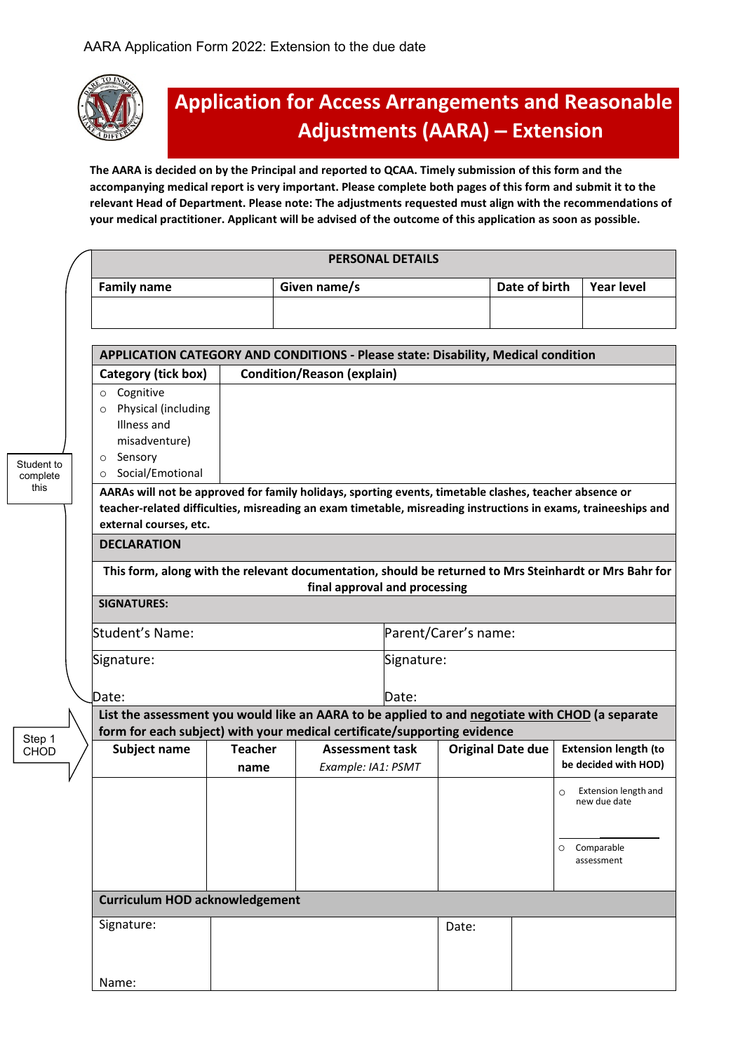

## **Application for Access Arrangements and Reasonable Adjustments (AARA) – Extension**

**The AARA is decided on by the Principal and reported to QCAA. Timely submission of this form and the accompanying medical report is very important. Please complete both pages of this form and submit it to the relevant Head of Department. Please note: The adjustments requested must align with the recommendations of your medical practitioner. Applicant will be advised of the outcome of this application as soon as possible.**

|                        |  | <b>PERSONAL DETAILS</b>                                                                                                                  |                                   |              |                                              |       |                          |   |                                                     |  |  |
|------------------------|--|------------------------------------------------------------------------------------------------------------------------------------------|-----------------------------------|--------------|----------------------------------------------|-------|--------------------------|---|-----------------------------------------------------|--|--|
|                        |  | <b>Family name</b>                                                                                                                       |                                   | Given name/s |                                              |       | Date of birth            |   | <b>Year level</b>                                   |  |  |
|                        |  |                                                                                                                                          |                                   |              |                                              |       |                          |   |                                                     |  |  |
|                        |  |                                                                                                                                          |                                   |              |                                              |       |                          |   |                                                     |  |  |
|                        |  | APPLICATION CATEGORY AND CONDITIONS - Please state: Disability, Medical condition                                                        |                                   |              |                                              |       |                          |   |                                                     |  |  |
|                        |  | Category (tick box)                                                                                                                      | <b>Condition/Reason (explain)</b> |              |                                              |       |                          |   |                                                     |  |  |
| Student to<br>complete |  | o Cognitive<br>Physical (including<br>$\circ$<br>Illness and<br>misadventure)<br>Sensory<br>$\circ$<br>Social/Emotional<br>$\circ$       |                                   |              |                                              |       |                          |   |                                                     |  |  |
| this                   |  | AARAs will not be approved for family holidays, sporting events, timetable clashes, teacher absence or                                   |                                   |              |                                              |       |                          |   |                                                     |  |  |
|                        |  | teacher-related difficulties, misreading an exam timetable, misreading instructions in exams, traineeships and<br>external courses, etc. |                                   |              |                                              |       |                          |   |                                                     |  |  |
|                        |  | <b>DECLARATION</b>                                                                                                                       |                                   |              |                                              |       |                          |   |                                                     |  |  |
|                        |  |                                                                                                                                          |                                   |              |                                              |       |                          |   |                                                     |  |  |
|                        |  | This form, along with the relevant documentation, should be returned to Mrs Steinhardt or Mrs Bahr for<br>final approval and processing  |                                   |              |                                              |       |                          |   |                                                     |  |  |
|                        |  | <b>SIGNATURES:</b>                                                                                                                       |                                   |              |                                              |       |                          |   |                                                     |  |  |
|                        |  | Student's Name:                                                                                                                          |                                   |              | Parent/Carer's name:                         |       |                          |   |                                                     |  |  |
|                        |  | Signature:                                                                                                                               |                                   | Signature:   |                                              |       |                          |   |                                                     |  |  |
|                        |  | Date:                                                                                                                                    | Date:                             |              |                                              |       |                          |   |                                                     |  |  |
|                        |  | List the assessment you would like an AARA to be applied to and negotiate with CHOD (a separate                                          |                                   |              |                                              |       |                          |   |                                                     |  |  |
| Step 1                 |  | form for each subject) with your medical certificate/supporting evidence                                                                 |                                   |              |                                              |       |                          |   |                                                     |  |  |
| <b>CHOD</b>            |  | Subject name                                                                                                                             | <b>Teacher</b><br>name            |              | <b>Assessment task</b><br>Example: IA1: PSMT |       | <b>Original Date due</b> |   | <b>Extension length (to</b><br>be decided with HOD) |  |  |
|                        |  |                                                                                                                                          |                                   |              |                                              |       |                          | O | Extension length and<br>new due date                |  |  |
|                        |  |                                                                                                                                          |                                   |              |                                              |       |                          |   | Comparable<br>assessment                            |  |  |
|                        |  | <b>Curriculum HOD acknowledgement</b>                                                                                                    |                                   |              |                                              |       |                          |   |                                                     |  |  |
|                        |  | Signature:                                                                                                                               |                                   |              |                                              | Date: |                          |   |                                                     |  |  |
|                        |  |                                                                                                                                          |                                   |              |                                              |       |                          |   |                                                     |  |  |
|                        |  | Name:                                                                                                                                    |                                   |              |                                              |       |                          |   |                                                     |  |  |